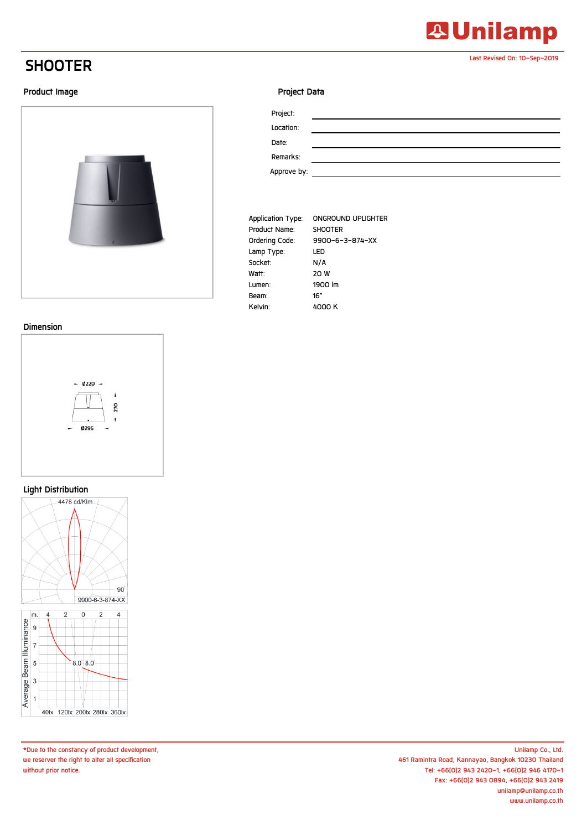## **SHOOTER**

#### **Product Image**



#### **Dimension**



#### **Light Distribution**



**\*Due to the constancy of product development, we reserver the right to alter all specification without prior notice.**

#### **Project Data**

| Project:    |  |
|-------------|--|
| Location:   |  |
| Date:       |  |
| Remarks:    |  |
| Approve by: |  |

**Last Revised On: 10-Sep-2019**

**23 Unilamp** 

| Application Type: | ONGROUND UPLIGHTER |
|-------------------|--------------------|
| Product Name:     | <b>SHOOTER</b>     |
| Ordering Code:    | 9900-6-3-874-XX    |
| Lamp Type:        | LED                |
| Socket:           | N/A                |
| Watt:             | 20 W               |
| Lumen:            | 1900 lm            |
| Beam:             | 16°                |
| Kelvin:           | 4000 K             |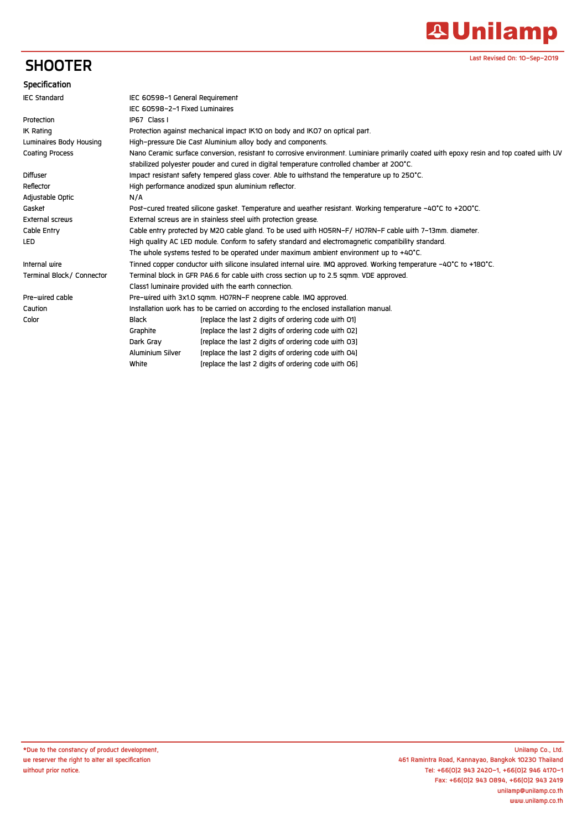# **A Unilamp**

**Last Revised On: 10-Sep-2019**

## **SHOOTER**

### **Specification**

| <b>IEC Standard</b>       | IEC 60598-1 General Requirement                                                                                                         |                                                      |  |
|---------------------------|-----------------------------------------------------------------------------------------------------------------------------------------|------------------------------------------------------|--|
|                           | IEC 60598-2-1 Fixed Luminaires                                                                                                          |                                                      |  |
| Protection                | IP67 Class I                                                                                                                            |                                                      |  |
| <b>IK Rating</b>          | Protection against mechanical impact IK10 on body and IK07 on optical part.                                                             |                                                      |  |
| Luminaires Body Housing   | High-pressure Die Cast Aluminium alloy body and components.                                                                             |                                                      |  |
| Coating Process           | Nano Ceramic surface conversion, resistant to corrosive environment. Luminiare primarily coated with epoxy resin and top coated with UV |                                                      |  |
|                           | stabilized polyester powder and cured in digital temperature controlled chamber at 200°C.                                               |                                                      |  |
| <b>Diffuser</b>           | Impact resistant safety tempered glass cover. Able to withstand the temperature up to 250°C.                                            |                                                      |  |
| Reflector                 | High performance anodized spun aluminium reflector.                                                                                     |                                                      |  |
| Adjustable Optic          | N/A                                                                                                                                     |                                                      |  |
| Gasket                    | Post-cured treated silicone gasket. Temperature and weather resistant. Working temperature -40°C to +200°C.                             |                                                      |  |
| External screws           | External screws are in stainless steel with protection grease.                                                                          |                                                      |  |
| Cable Entry               | Cable entry protected by M2O cable gland. To be used with HO5RN-F/HO7RN-F cable with 7-13mm. diameter.                                  |                                                      |  |
| <b>LED</b>                | High quality AC LED module. Conform to safety standard and electromagnetic compatibility standard.                                      |                                                      |  |
|                           | The whole systems tested to be operated under maximum ambient environment up to $+40^{\circ}$ C.                                        |                                                      |  |
| Internal wire             | Tinned copper conductor with silicone insulated internal wire. IMQ approved. Working temperature -40°C to +180°C.                       |                                                      |  |
| Terminal Block/ Connector | Terminal block in GFR PA6.6 for cable with cross section up to 2.5 sgmm. VDE approved.                                                  |                                                      |  |
|                           | Class1 luminaire provided with the earth connection.                                                                                    |                                                      |  |
| Pre-wired cable           | Pre-wired with 3x1.0 sgmm. HO7RN-F neoprene cable. IMQ approved.                                                                        |                                                      |  |
| Caution                   | Installation work has to be carried on according to the enclosed installation manual.                                                   |                                                      |  |
| Color                     | Black                                                                                                                                   | [replace the last 2 digits of ordering code with O1] |  |
|                           | Graphite                                                                                                                                | [replace the last 2 digits of ordering code with O2] |  |
|                           | Dark Gray                                                                                                                               | [replace the last 2 digits of ordering code with 03] |  |
|                           | Aluminium Silver                                                                                                                        | [replace the last 2 digits of ordering code with 04] |  |
|                           | White                                                                                                                                   | [replace the last 2 digits of ordering code with 06] |  |